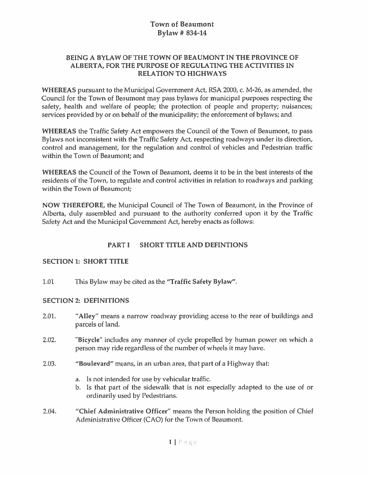### BEING A BYLAW OF THE TOWN OF BEAUMONT IN THE PROVINCE OF ALBERTA, FOR THE PURPOSE OF REGULATING THE ACTIVITIES IN RELATION TO HIGHWAYS

WHEREAS pursuant to the Municipal Government Act, RSA 2000, c. M-26, as amended, the Council for the Town of Beaumont may pass bylaws for municipal purposes respecting the safety, health and welfare of people; the protection of people and property; nuisances; services provided by or on behalf of the municipality; the enforcement of bylaws; and

WHEREAS the Traffic Safety Act empowers the Council of the Town of Beaumont, to pass Bylaws not inconsistent with the Traffic Safety Act, respecting roadways under its direction, control and management, for the regulation and control of vehicles and Pedestrian traffic within the Town of Beaumont; and

WHEREAS the Council of the Town of Beaumont, deems it to be in the best interests of the residents of the Town, to regulate and control activities in relation to roadways and parking within the Town of Beaumont;

NOW THEREFORE, the Municipal Council of The Town of Beaumont, in the Province of Alberta, duly assembled and pursuan<sup>t</sup> to the authority conferred upon it by the Traffic Safety Act and the Municipal Govemment Act, hereby enacts as follows:

### PART I SHORT TITLE AND DEFINTIONS

#### SECTION 1: SHORT TITLE

1.01 This Bylaw may be cited as the "Traffic Safety Bylaw".

#### SECTION 2: DEFINITIONS

- 2.01. "Alley" means <sup>a</sup> narrow roadway providing access to the rear of buildings and parcels of land.
- 2.02. **Bicycle'** includes any manner of cycle propelled by human power on which a person may ride regardless of the number of wheels it may have.
- 2.03. "Boulevard" means, in an urban area, that par<sup>t</sup> of <sup>a</sup> Highway that:
	- a. Is not intended for use by vehicular traffic.
	- b. Is that par<sup>t</sup> of the sidewalk that is not especially adapted to the use of or ordinarily used by Pedestrians.
- 2.04. "Chief Administrative Officer" means the Person holding the position of Chief Administrative Officer (CAO) for the Town of Beaumont.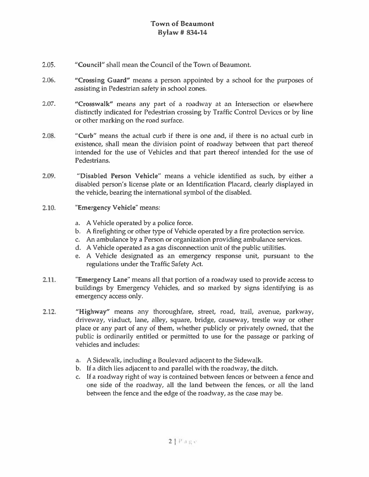- 2.05. "Council" shall mean the Council of the Town of Beaumont.
- 2.06. "Crossing Guard" means <sup>a</sup> person appointed by <sup>a</sup> school for the purposes of assisting in Pedestrian safety in school zones.
- 2.07. "Crosswalk" means any par<sup>t</sup> of <sup>a</sup> roadway at an Intersection or elsewhere distinctly indicated for Pedestrian crossing by Traffic Control Devices or by line or other marking on the road surface.
- 2.08. "Curb" means the actual curb if there is one and, if there is no actual curb in existence, shall mean the division point of roadway between that par<sup>t</sup> thereof intended for the use of Vehicles and that par<sup>t</sup> thereof intended for the use of Pedestrians.
- 2.09. "Disabled Person Vehicle" means <sup>a</sup> vehicle identified as such, by either <sup>a</sup> disabled person's license plate or an Identification Placard, clearly displayed in the vehicle, bearing the international symbol of the disabled.
- 2.10. "Emergency Vehicle" means:
	- a. A Vehicle operated by <sup>a</sup> police force.
	- b. A firefighting or other type of Vehicle operated by <sup>a</sup> fire protection service.
	- c. An ambulance by <sup>a</sup> Person or organization providing ambulance services.
	- d. A Vehicle operated as <sup>a</sup> gas disconnection unit of the public utilities.
	- e. A Vehicle designated as an emergency response unit, pursuan<sup>t</sup> to the regulations under the Traffic Safety Act.
- 2.11. "Emergency Lane" means all that portion of <sup>a</sup> roadway used to provide access to buildings by Emergency Vehicles, and so marked by signs identifying is as emergency access only.
- 2.12. "Highway" means any thoroughfare, street, road, trail, avenue, parkway, driveway, viaduct, lane, alley, square, bridge, causeway, trestle way or other place or any par<sup>t</sup> of any of them, whether publicly or privately owned, that the public is ordinarily entitled or permitted to use for the passage or parking of vehicles and includes:
	- a. A Sidewalk, including <sup>a</sup> Boulevard adjacent to the Sidewalk.
	- b. If <sup>a</sup> ditch lies adjacent to and parallel with the roadway, the ditch.
	- c. If <sup>a</sup> roadway right of way is contained between fences or between <sup>a</sup> fence and one side of the roadway, all the land between the fences, or all the land between the fence and the edge of the roadway, as the case may be.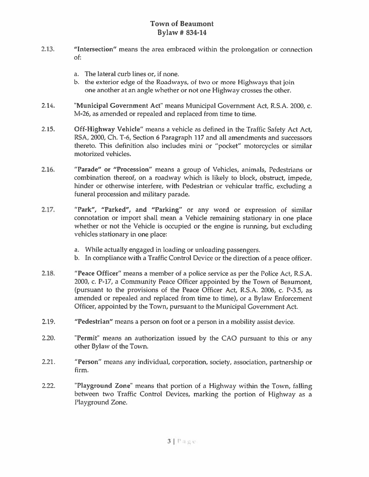- 2.13. "Intersection" means the area embraced within the prolongation or connection of;
	- a. The lateral curb lines or, if none.
	- h. the exterior edge of the Roadways, of two or more Highways that join one another at an angle whether or not one Highway crosses the other.
- 2.14. "Municipal Government Act" means Municipal Government Act, R.S.A. 2000, c. M-26, as amended or repealed and replaced from time to time.
- 2.15. Off-Highway Vehicle" means <sup>a</sup> vehicle as defined in the Traffic Safety Act Act RSA, 2000, Ch. T-6, Section 6 Paragraph 117 and all amendments and successors thereto. This definition also includes mini or "pocket" motorcycles or similar motorized vehicles.
- 2.16. "Parade" or "Procession" means <sup>a</sup> group of Vehicles, animals, Pedestrians or combination thereof, on <sup>a</sup> roadway which is likely to block, obstruct, impede, hinder or otherwise interfere, with Pedestrian or vehicular traffic, excluding <sup>a</sup> funeral procession and military parade.
- 2.17. "Park", "Parked", and "Parking" or any word or expression of similar connotation or import shall mean <sup>a</sup> Vehicle remaining stationary in one <sup>p</sup>lace whether or not the Vehicle is occupied or the engine is running, but excluding vehicles stationary in one place:
	- a. While actually engaged in loading or unloading passengers.
	- b. In compliance with <sup>a</sup> Traffic Control Device or the direction of <sup>a</sup> peace officer.
- 2.18. "Peace Officer" means <sup>a</sup> member of <sup>a</sup> police service as per the Police Act, R.S.A. 2000, c. P-i?, <sup>a</sup> Community Peace Officer appointed by the Town of Beaumont, (pursuant to the provisions of the Peace Officer Act, R.S.A. 2006, c. P-3.5, as amended or repealed and replaced from time to time), or <sup>a</sup> Bylaw Enforcement Officer, appointed by the Town, pursuan<sup>t</sup> to the Municipal Government Act.
- 2.19. "Pedestrian" means <sup>a</sup> person on foot or <sup>a</sup> person in <sup>a</sup> mobility assist device.
- 2.20. "Permit" means an authorization issued by the CAO pursuant to this or any other Bylaw of the Town.
- 2.21. "Person" means any individual, corporation, society, association, partnership or firm.
- 2.22. "Playground Zone' means that portion of <sup>a</sup> Highway within the Town, falling between two Traffic Control Devices, marking the portion of Highway as <sup>a</sup> Playground Zone.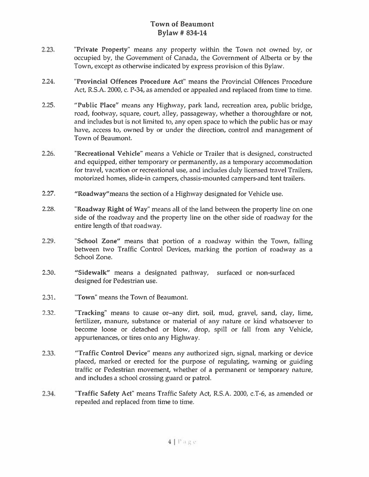- 2.23. Private Property" means any property within the Town not owned by, or occupied by, the Government of Canada, the Government of Alberta or by the Town, excep<sup>t</sup> as otherwise indicated by express provision ot this Bylaw.
- 2.24. "Provincial Offences Procedure Act" means the Provincial Offences Procedure Act, R.S.A. 2000, c. P-34, as amended or appealed and replaced from time to time.
- 2.25. "Public Place" means any Highway, park land, recreation area, public bridge, road, footway, square, court, alley, passageway, whether a thoroughfare or not, and includes but is not limited to, any open space to which the public has or may have, access to, owned by or under the direction, control and managemen<sup>t</sup> of Town of Beaumont.
- 2.26. "Recreational Vehicle' means <sup>a</sup> Vehicle or Trailer that is designed, constructed and equipped, either temporary or permanently, as <sup>a</sup> temporary accommodation for travel, vacation or recreational use, and includes duly licensed travel Trailers, motorized homes, slide-in campers, chassis-mounted campers-and tent trailers.
- 2.27. "Roadway"means the section of <sup>a</sup> Highway designated for Vehicle use.
- 2.28. 'Roadway Right of Way' means all of the land between the property line on one side of the roadway and the property line on the other side of roadway for the entire length of that roadway.
- 2.29. "School Zone" means that portion of <sup>a</sup> roadway within the Town, falling between two Traffic Control Devices, marking the portion of roadway as <sup>a</sup> School Zone.
- 2.30. "Sidewalk" means <sup>a</sup> designated pathway, surfaced or non-surfaced designed for Pedestrian use.
- 2.31. 'Town' means the Town of Beaumont.
- 2.32. 'Tracking' means to cause or—any dirt, soil, mud, gravel, sand, day, lime, fertilizer, manure, substance or material of any nature or kind whatsoever to become loose or detached or blow, drop, spill or fall from any Vehicle, appurtenances, or tires onto any Highway.
- 2.33. "Traffic Control Device" means any authorized sign, signal, marking or device placed, marked or erected for the purpose of regulating, warning or guiding traffic or Pedestrian movement, whether of <sup>a</sup> permanen<sup>t</sup> or temporary nature, and includes <sup>a</sup> school crossing guard or patrol.
- 2.34. "Traffic Safety Act' means Traffic Safety Act, R.S.A. 2000, c.T-6, as amended or repealed and replaced from time to time.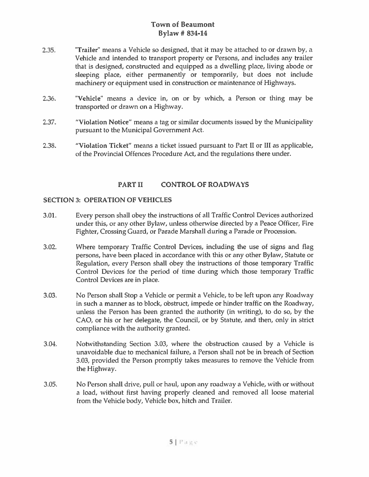- 2.35. Trailer" means a Vehicle so designed, that it may be attached to or drawn by, a Vehicle and intended to transport property or Persons, and includes any trailer that is designed, constructed and equipped as <sup>a</sup> dwelling <sup>p</sup>lace, living abode or sleeping place, either permanently or temporarily, but does not include machinery or equipment used in construction or maintenance of Highways.
- 2.36. 'Vehicle' means <sup>a</sup> device in, on or by which, <sup>a</sup> Person or thing may be transported or drawn on <sup>a</sup> Highway.
- 2.37. "Violation Notice" means <sup>a</sup> tag or similar documents issued by the Municipality pursuan<sup>t</sup> to the Municipal Government Act.
- 2.38. "Violation Ticket" means <sup>a</sup> ticket issued pursuan<sup>t</sup> to Part II or III as applicable, of the Provincial Offences Procedure Act, and the regulations there under.

### PART II CONTROL OF ROADWAYS

#### SECTION 3: OPERATION OF VEHICLES

- 3.01. Every person shall obey the instructions of all Traffic Control Devices authorized under this, or any other Bylaw, unless otherwise directed by <sup>a</sup> Peace Officer, Fire Fighter, Crossing Guard, or Parade Marshall during <sup>a</sup> Parade or Procession.
- 3.02. Where temporary Traffic Control Devices, including the use of signs and flag persons, have been placed in accordance with this or any other Bylaw, Statute or Regulation, every Person shall obey the instructions of those temporary Traffic Control Devices for the period of time during which those temporary Traffic Control Devices are in place.
- 3.03. No Person shall Stop <sup>a</sup> Vehicle or permit <sup>a</sup> Vehicle, to be left upon any Roadway in such <sup>a</sup> manner as to block, obstruct, impede or hinder traffic on the Roadway, unless the Person has been granted the authority (in writing), to do so, by the CAO, or his or her delegate, the Council, or by Statute, and then, only in strict compliance with the authority granted.
- 3.04. Notwithstanding Section 3.03, where the obstruction caused by <sup>a</sup> Vehicle is unavoidable due to mechanical failure, <sup>a</sup> Person shall not be in breach of Section 3.03, provided the Person promptly takes measures to remove the Vehicle from the Highway.
- 3.05. No Person shall drive, pull or haul, upon any roadway <sup>a</sup> Vehicle, with or without <sup>a</sup> load, without first having properly cleaned and removed all loose material from the Vehicle body, Vehicle box, hitch and Trailer.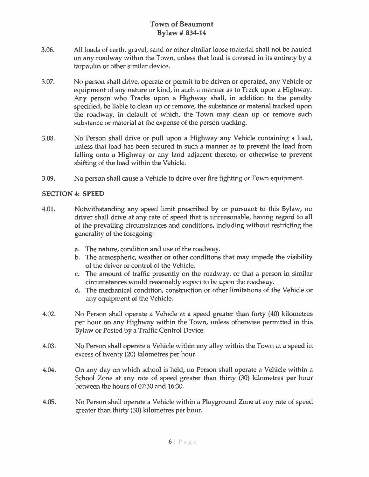- 3.06. All loads of earth, gravel, sand or other similar loose material shall not be hauled on any roadway within the Town, unless that load is covered in its entirety by <sup>a</sup> tarpaulin or other similar device.
- 3.07. No person shall drive, operate or permit to be driven or operated, any Vehicle or equipment of any nature or kind, in such <sup>a</sup> manner as to Track upon <sup>a</sup> Highway. Any person who Tracks upon <sup>a</sup> Highway shall, in addition to the penalty specified, be liable to clean up or remove, the substance or material tracked upon the roadway, in default of which, the Town may clean up or remove such substance or material at the expense of the person tracking.
- 3.08. No Person shall drive or pull upon <sup>a</sup> Highway any Vehicle containing <sup>a</sup> load, unless that load has been secured in such <sup>a</sup> manner as to preven<sup>t</sup> the load from falling onto a Highway or any land adjacent thereto, or otherwise to prevent shifting of the load within the Vehicle.
- 3.09. No person shall cause <sup>a</sup> Vehicle to drive over fire fighting or Town equipment.

#### SECTION 4: SPEED

- 1.01. Notwithstanding any speed limit prescribed by or pursuan<sup>t</sup> to this Bylaw, no driver shall drive at any rate of speed that is unreasonable, having regard to all of the prevailing circumstances and conditions, including without restricting the generality of the foregoing:
	- a. The nature, condition and use of the roadway.
	- b. The atmospheric, weather or other conditions that may impede the visibility of the driver or control of the Vehicle.
	- c. The amount of traffic presently on the roadway, or that <sup>a</sup> person in similar circumstances would reasonably expec<sup>t</sup> to be upon the roadway.
	- d. The mechanical condition, construction or other limitations of the Vehicle or any equipment of the Vehicle.
- 4.02. No Person shall operate <sup>a</sup> Vehicle at <sup>a</sup> speed greater than forty (40) kilometres per hour on any Highway within the Town, unless otherwise permitted in this Bylaw or Posted by <sup>a</sup> Traffic Control Device.
- 4.03. No Person shall operate <sup>a</sup> Vehicle within any alley within the Town at <sup>a</sup> speed in excess of twenty (20) kilometres per hour.
- 4.04. On any day on which school is held, no Person shall operate <sup>a</sup> Vehicle within <sup>a</sup> School Zone at any rate of speed greater than thirty (30) kilometres per hour between the hours of 07:30 and 16:30.
- 4.05. No Person shall operate <sup>a</sup> Vehicle within <sup>a</sup> Playground Zone at any rate of speed greater than thirty (30) kilometres per hour.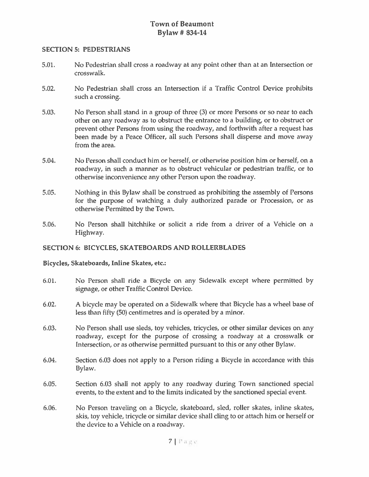#### SECTION 5: PEDESTRIANS

- 5.01. No Pedestrian shall cross <sup>a</sup> roadway at any point oilier than at an Intersection or crosswalk.
- 5.02. No Pedestrian shall cross an Intersection if <sup>a</sup> Traffic Control Device prohibits such <sup>a</sup> crossing.
- 5.03. No Person shall stand in <sup>a</sup> group of three (3) or more Persons or so near to each other on any roadway as to obstruct the entrance to <sup>a</sup> building, or to obstruct or preven<sup>t</sup> other Persons from using the roadway, and forthwith after <sup>a</sup> reques<sup>t</sup> has been made by <sup>a</sup> Pence Officer, all such Persons shall disperse and move away from the area.
- 5.04. No Person shall conduct him or herself, or otherwise position him or herself, on <sup>a</sup> roadway, in such <sup>a</sup> manner as to obstruct vehicular or pedestrian traffic, or to otherwise inconvenience any other Person upon the roadway.
- 5.05. Nothing in this Bylaw shall be construed as prohibiting the assembly of Persons for the purpose of watching <sup>a</sup> duly authorized parade or Procession, or as otherwise Permitted by the Town.
- 5.06. No Person shall hitchhike or solicit a ride from a driver of a Vehicle on a Highway.

#### SECTION 6: BICYCLES, SKATEBOARDS AND ROLLERBLADES

#### Bicycles, Skateboards, Inline Skates, etc.:

- 6.01. No Person shall ride <sup>a</sup> Bicycle on any Sidewalk excep<sup>t</sup> where permitted by signage, or other Traffic Control Device.
- 6.02. A bicycle may be operated on <sup>a</sup> Sidewalk where that Bicycle has <sup>a</sup> wheel base of less than fifty (50) centimetres and is operated by <sup>a</sup> minor.
- 6.03. No Person shall use sleds, toy vehicles, tricycles, or other similar devices on any roadway, excep<sup>t</sup> for the purpose of crossing <sup>a</sup> roadway at <sup>a</sup> crosswalk or Intersection, or as otherwise permitted pursuant to this or any other Bylaw.
- 6.04. Section 6.03 does not apply to <sup>a</sup> Person riding <sup>a</sup> Bicycle in accordance with this Bylaw.
- 6.05. Section 6.03 shall not apply to any roadway during Town sanctioned special events, to the extent and to the limits indicated by the sanctioned special event.
- 6.06. No Person traveling on <sup>a</sup> Bicycle, skateboard, sled, roller skates, inline skates, skis, toy vehicle, tricycle or similar device shall cling to or attach him or herself or the device to <sup>a</sup> Vehicle on <sup>a</sup> roadway.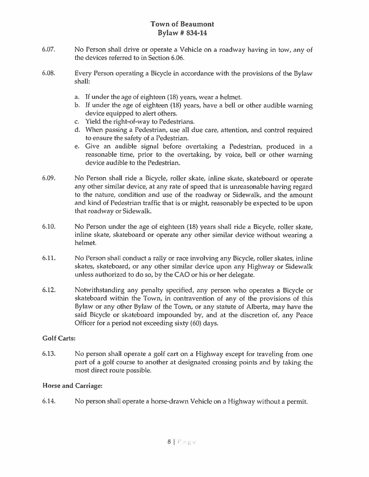- 6.07. No Person shall drive or operate <sup>a</sup> Vehicle on <sup>a</sup> roadway having in tow, any of the devices referred to in Section 6.06.
- 6.08. Every Person operating <sup>a</sup> Bicycle in accordance with the provisions of the Bylaw shall:
	- a. If under the age of eighteen (18) years, wear <sup>a</sup> helmet.
	- b. If under the age of eighteen (18) years, have <sup>a</sup> bell or other audible warning device equipped to alert others.
	- c. Yield the right-of-way to Pedestrians.
	- d. When passing <sup>a</sup> Pedestrian, use all due care, attention, and control required to ensure the safety of <sup>a</sup> Pedestrian.
	- e. Give an audible signal before overtaking <sup>a</sup> Pedestrian, produced in <sup>a</sup> reasonable time, prior to the overtaking, by voice, bell or other warning device audible to the Pedestrian.
- 6.09. No Person shall ride <sup>a</sup> Bicycle, roller skate, inline skate, skateboard or operate any other similar device, at any rate of spee<sup>d</sup> that is unreasonable having regar<sup>d</sup> to the nature, condition and use of the roadway or Sidewalk, and the amount and kind of Pedestrian traffic that is or might, reasonably be expected to be upon that roadway or Sidewalk.
- 6.10. No Person under the age of eighteen (18) years shall ride <sup>a</sup> Bicycle, roller skate, inline skate, skateboard or operate any other similar device without wearing <sup>a</sup> helmet.
- 6.11. No Person shall conduct <sup>a</sup> rally or race involving any Bicycle, roller skates, inline skates, skateboard, or any other similar device upon any Highway or Sidewalk unless authorized to do so, by the CÁO or his or her delegate.
- 6.12. Notwithstanding any penalty specified, any person who operates <sup>a</sup> Bicycle or skateboard within the Town, in contravention of any of the provisions of this Bylaw or any other Bylaw of the Town, or any statute of Alberta, may have the said Bicycle or skateboard impounded by, and at the discretion of, any Peace Officer for <sup>a</sup> period not exceeding sixty (60) days.

#### Golf Carts:

6.13. No person shall operate <sup>a</sup> golf cart on <sup>a</sup> Highway excep<sup>t</sup> for traveling from one par<sup>t</sup> of <sup>a</sup> golf course to another at designated crossing points and by taking the most direct route possible.

### Horse and Carriage:

6.14. No person shall operate <sup>a</sup> horse-drawn Vehicle on <sup>a</sup> Highway without <sup>a</sup> permit.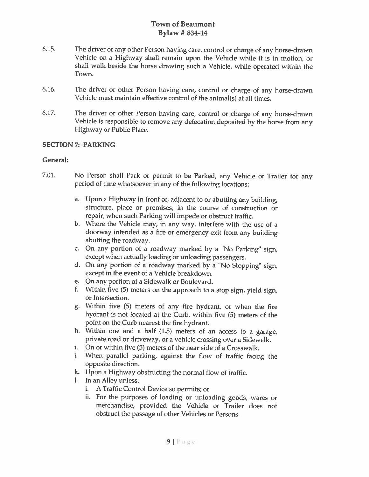- 6.15. The driver or any other Person having care, control or charge of any horse-drawn Vehicle on <sup>a</sup> Highway shall remain upon the Vehicle while it is in motion, or shall walk beside the horse drawing such <sup>a</sup> Vehicle, while operated within the Town.
- 6.16. The driver or other Person having care, control or charge of any horse-drawn Vehicle must maintain effective control of the animal(s) at all times.
- 6.17. The driver or other Person having care, control or charge of any horse-drawn Vehicle is responsible to remove any defecation deposited by the horse from any Highway or Public Place.

#### SECTION?: PARKING

#### General:

- 7.01. No Person shall Park or permit to be Parked, any Vehicle or Trailer for any period of time whatsoever in any of the following locations:
	- a. Upon <sup>a</sup> Highway in front of, adjacent to or abutting any building, structure, place or premises, in the course of construction or repair, when such Parking will impede or obstruct traffic.
	- b. Where the Vehicle may, in any way, interfere with the use of <sup>a</sup> doorway intended as <sup>a</sup> fire or emergency exit from any building abutting the roadway.
	- c. On any portion of <sup>a</sup> roadway marked by <sup>a</sup> "No Parking" sign, except when actually loading or unloading passengers.
	- d. On any portion of <sup>a</sup> roadway marked by <sup>a</sup> "No Stopping" sign, except in the event of <sup>a</sup> Vehicle breakdown.
	- e. On any portion of <sup>a</sup> Sidewalk or Boulevard.
	- 1. Within five (5) meters on the approach to <sup>a</sup> stop sign, <sup>y</sup>ield sign, or Intersection.
	- g. Within five (5) meters of any fire hydrant, or when the fire hydrant is not located at the Curb, within five (5) meters of the point on the Curb nearest the fire hydrant.
	- h. Within one and <sup>a</sup> half (1.5) meters of an access to <sup>a</sup> garage, private road or driveway, or <sup>a</sup> vehicle crossing over <sup>a</sup> Sidewalk.
	- i. On or within five (5) meters of the near side of <sup>a</sup> Crosswalk.
	- j. When parallel parking, against the flow of traffic facing the opposite direction.
	- k. Upon <sup>a</sup> Highway obstructing the normal flow of traffic.
	- 1. In an Alley unless:
		- i. <sup>A</sup> Traffic Control Device so permits; or
		- ii. For the purposes of loading or unloading goods, wares or merchandise, provided the Vehicle or Trailer does not obstruct the passage of other Vehicles or Persons.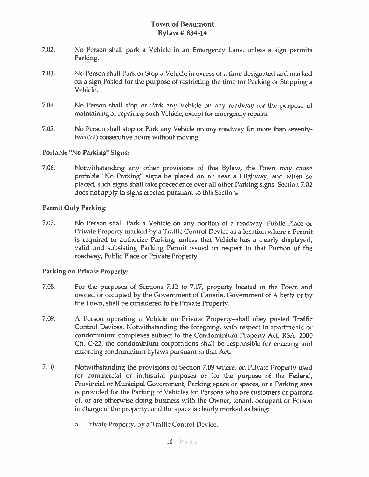- 7.02. No Person shall park <sup>a</sup> Vehicle in an Emergency Lane, unless <sup>a</sup> sign permits Parking.
- 7.03. No Person shall Park or Stop <sup>a</sup> Vehicle in excess of <sup>a</sup> time designated and marked on <sup>a</sup> sign Posted for the purpose of restricting the time for Parking or Stopping <sup>a</sup> Vehicle.
- 7.04. No Person shall stop or Park any Vehicle on any roadway for the purpose of maintaining or repairing such Vehicle, excep<sup>t</sup> for emergency repairs.
- 7.05. No Person shall stop or Park any Vehicle on any roadway for more than seventy two (72) consecutive hours without moving.

### Portable "No Parking" Signs:

7.06. Notwithstanding any other provisions of this Bylaw, the Town may cause portable "No Parking" signs be placed on or near <sup>a</sup> Highway, and when so placed, such signs shall take precedence over all other Parking signs. Section 7.02 does not apply to signs erected pursuan<sup>t</sup> to this Section,

#### Permit Only Parking:

7.07. No Person shall Park <sup>a</sup> Vehicle on any portion of <sup>a</sup> roadway, Public Place or Private Property marked by <sup>a</sup> Traffic Control Device as <sup>a</sup> location where <sup>a</sup> Permit is required to authorize Parking, unless that Vehicle has <sup>a</sup> clearly displayed, valid and subsisting Parking Permit issued in respec<sup>t</sup> to that Portion of the roadway, Public Place or Private Property.

#### Parking on Private Property:

- 7.08. For the purposes of Sections 7.12 to 7.17, property located in the Town and owned or occupied by the Government of Canada, Government of Alberta or by the Town, shall be considered to be Private Property.
- 7.09. <sup>A</sup> Person operating <sup>a</sup> Vehicle on Private Property—shall obey posted Traffic Control Devices. Notwithstanding the foregoing, with respec<sup>t</sup> to apartments or condominium complexes subject to the Condominium Property Act, RSA, 2000 Ch. C-22, the condominium corporations shall be responsible for enacting and enforcing condominium bylaws pursuan<sup>t</sup> to that Act.
- 7.10. Notwithstanding the provisions of Section 7.09 where, on Private Property used for commercial or industrial purposes or for the purpose of the Federal, Provincial or Municipal Government, Parking space or spaces, or <sup>a</sup> Parking area is provided for the Parking of Vehicles for Persons who are customers or patrons of, or are otherwise doing business with the Owner, tenant, occupan<sup>t</sup> or Person in charge of the property, and the space is clearly marked as being:
	- a. Private Property, by <sup>a</sup> Traffic Control Device.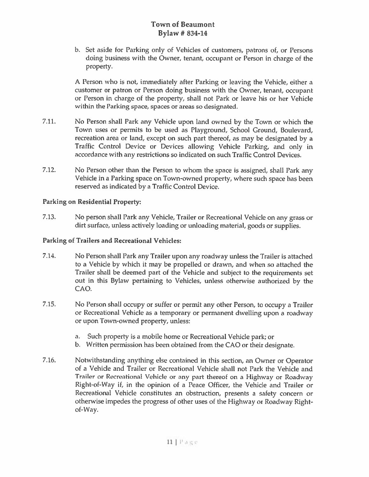b. Set aside for Parking only of Vehicles of customers, patrons of, or Persons doing business with the Owner, tenant, occupan<sup>t</sup> or Person in charge of the property.

A Person who is not, immediately after Parking or leaving the Vehicle, either <sup>a</sup> customer or patron or Person doing business with the Owner, tenant, occupan<sup>t</sup> or Person in charge of the property, shall not Park or leave his or her Vehicle within the Parking space, spaces or areas so designated.

- 7.11. No Person shall Park any Vehicle upon land owned by the Town or which the Town uses or permits to be used as Playground, School Ground, Boulevard, recreation area or land, excep<sup>t</sup> on such par<sup>t</sup> thereof, as may be designated by <sup>a</sup> Traffic Control Device or Devices allowing Vehicle Parking, and only in accordance with any restrictions so indicated on such Traffic Control Devices.
- 7.12. No Person other than the Person to whom the space is assigned, shall Park any Vehicle in <sup>a</sup> Parking space on Town-owned property, where such space has been reserved as indicated by <sup>a</sup> Traffic Control Device.

### Parking on Residential Property:

7.13. No person shall Park any Vehicle, Trailer or Recreational Vehicle on any grass or dirt surface, unless actively loading or unloading material, goods or supplies.

### Parking of Trailers and Recreational Vehicles:

- 7.14. No Person shall Park any Trailer upon any roadway unless the Trailer is attached to <sup>a</sup> Vehicle by which it may be propelled or drawn, and when so attached the Trailer shall be deemed par<sup>t</sup> of the Vehicle and subject to the requirements set out in this Bylaw pertaining to Vehicles, unless otherwise authorized by the CAO.
- 7.15. No Person shall occupy or suffer or permit any other Person, to occupy <sup>a</sup> Trailer or Recreational Vehicle as <sup>a</sup> temporary or permanen<sup>t</sup> dwelling upon <sup>a</sup> roadway or upon Town-owned property, unless:
	- a. Such property is <sup>a</sup> mobile home or Recreational Vehicle park; or
	- b. Written permission has been obtained from the CAO or their designate.
- 7.16. Notwithstanding anything else contained in this section, an Owner or Operator of <sup>a</sup> Vehicle and Trailer or Recreational Vehicle shall not Park the Vehicle and Trailer or Recreational Vehicle or any par<sup>t</sup> thereof on <sup>a</sup> Highway or Roadway Right-of-Way if, in the opinion of <sup>a</sup> Peace Officer, the Vehicle and Trailer or Recreational Vehicle constitutes an obstruction, presents <sup>a</sup> safety concern or otherwise impedes the progress of other uses of the Highway or Roadway Right of-Way.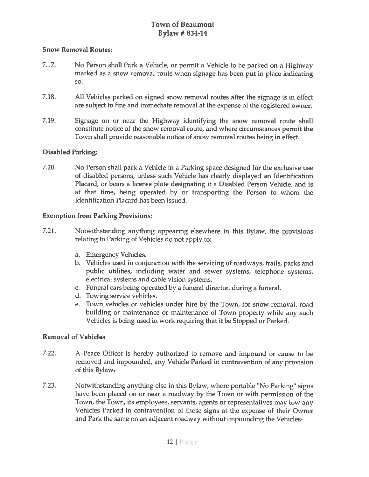#### Snow Removal Routes:

- 7.17. No Person shall Park <sup>a</sup> Vehicle, or permit <sup>a</sup> Vehicle to be parked on <sup>a</sup> Highway marked as <sup>a</sup> snow removal route when signage has been pu<sup>t</sup> in place indicating so.
- 7.18. All Vehicles parked on signed snow removal routes after the signage is in effect are subject to fine and immediate removal at the expense of the registered owner.
- 7.19. Signage on or near the Highway identifying the snow removal route shall constitute notice of the snow removal route, and where circumstances permit the Town shall provide reasonable notice of snow removal routes being in effect.

### Disabled Parking:

7.20. No Person shall park <sup>a</sup> Vehicle in <sup>a</sup> Parking space designed for the exclusive use of disabled persons, unless such Vehicle has clearly displayed an Identification Placard, or bears <sup>a</sup> license plate designating it <sup>a</sup> Disabled Person Vehicle, and is at that time, being operated by or transporting the Person to whom the Identification Placard has been issued.

#### Exemption from Parking Provisions:

- 7.21. Notwithstanding anything appearing elsewhere in this Bylaw, the provisions relating to Parking of Vehicles do not apply to:
	- a. Emergency Vehicles.
	- b. Vehicles used in conjunction with the servicing of roadways, trails, parks and public utilities, including water and sewer systems, telephone systems, electrical systems and cable vision systems.
	- c. Funeral cars being operated by <sup>a</sup> funeral director, during <sup>a</sup> funeral.
	- d. Towing service vehicles.
	- e. Town vehicles or vehicles under hire by the Town, for snow removal, road building or maintenance or maintenance of Town property while any such Vehicles is being used in work requiring that it be Stopped or Parked.

#### Removal of Vehicles

- 7.22. A—Peace Officer is hereby authorized to remove and impound or cause to be removed and impounded, any Vehicle Parked in contravention of any provision of this Bylaw
- 7.23. Notwithstanding anything else in this Bylaw, where portable "No Parking" signs have been <sup>p</sup>laced on or near <sup>a</sup> roadway by the Town or with permission of the Town, the Town, its employees, servants, agents or representatives may tow any Vehicles Parked in contravention of those signs at the expense of their Owner and Park the same on an adjacent roadway without impounding the Vehicles-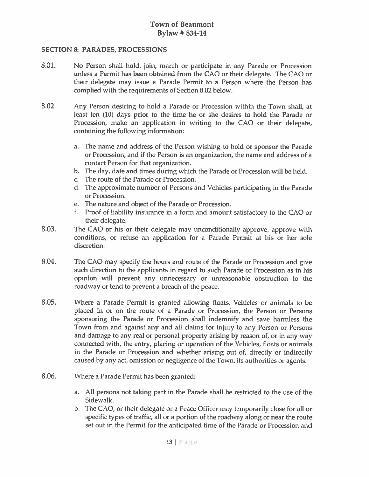#### SECTION 8: PARADES, PROCESSIONS

- 8.01. No Person shall hold, join, march or participate in any Parade or Procession unless <sup>a</sup> Permit has been obtained from the CÁO or their delegate. The CÁO or their delegate may issue <sup>a</sup> Parade Permit to <sup>a</sup> Person where the Person has complied with the requirements of Section 8.02 below.
- 8.02. Any Person desiring to hold <sup>a</sup> Parade or Procession within the Town shall, at least ten (10) days prior to the time he or she desires to hold the Parade or Procession, make an application in writing to the CAO or their delegate, containing the following information:
	- a. The name and address of the Person wishing to hold or sponsor the Parade or Procession, and if the Person is an organization, the name and address of <sup>a</sup> contact Person for that organization.
	- b. The day, date and times during which the Parade or Procession will be held.
	- c. The route of the Parade or Procession.
	- d. The approximate number of Persons and Vehicles participating in the Parade or Procession.
	- e. The nature and object of the Parade or Procession.
	- f. Proof of liability insurance in <sup>a</sup> form and amount satisfactory to the CÁO or their delegate.
- 8.03. The CAO or his or their delegate may unconditionally approve, approve with conditions, or refuse an application for <sup>a</sup> Parade Permit at his or her sole discretion.
- 8.04. The CAO may specify the hours and route of the Parade or Procession and give such direction to the applicants in regard to such Parade or Procession as in his opinion will preven<sup>t</sup> any unnecessary or unreasonable obstruction to the roadway or tend to preven<sup>t</sup> <sup>a</sup> breach of the peace.
- 8.05. Where <sup>a</sup> Parade Permit is granted allowing floats, Vehicles or animals to be placed in or on the route of <sup>a</sup> Parade or Procession, the Person or Persons sponsoring the Parade or Procession shall indemnify and save harmless the Town from and against any and all claims for injury to any Person or Persons and damage to any real or personal property arising by reason of, or in any way connected with, the entry, placing or operation of the Vehicles, floats or animals in the Parade or Procession and whether arising out of, directly or indirectly caused by any act, omission or negligence of the Town, its authorities or agents.
- 8.06. Where <sup>a</sup> Parade Permit has been granted:
	- a. All persons not taking par<sup>t</sup> in the Parade shall he restricted to the use of the Sidewalk.
	- b. The CÁO, or their delegate or <sup>a</sup> Peace Officer may temporarily close for all or specific types of traffic, all or <sup>a</sup> portion of the roadway along or near the route set out in the Permit for the anticipated time of the Parade or Procession and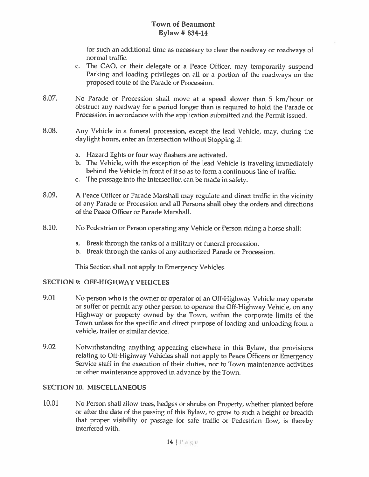for such an additional time as necessary to clear the roadway or roadways of normal traffic.

- c. The CAO, or their delegate or <sup>a</sup> Peace Officer, may temporarily suspen<sup>d</sup> Parking and loading privileges on all or <sup>a</sup> portion of the roadways on the proposed route of the Parade or Procession.
- 8.07. No Parade or Procession shall move at <sup>a</sup> spee<sup>d</sup> slower than <sup>5</sup> km/hour or obstruct any roadway for <sup>a</sup> period longer than is required to hold the Parade or Procession in accordance with the application submitted and the Permit issued.
- 8.08. Any Vehicle in <sup>a</sup> funeral procession, excep<sup>t</sup> the lead Vehicle, may, during the daylight hours, enter an Intersection without Stopping if:
	- a. Hazard lights or four way flashers are activated.
	- b. The Vehicle, with the exception of the lead Vehicle is traveling immediately behind the Vehicle in front of it so as to form <sup>a</sup> continuous line of traffic.
	- c. The passage into the Intersection can be made in safety.
- 8.09. <sup>A</sup> Peace Officer or Parade Marshall may regulate and direct traffic in the vicinity of any Parade or Procession and all Persons shall obey the orders and directions of the Peace Officer or Parade Marshall.
- 8.10. No Pedestrian or Person operating any Vehicle or Person riding <sup>a</sup> horse shall:
	- a. Break through the ranks of <sup>a</sup> military or funeral procession.
	- b. Break through the ranks of any authorized Parade or Procession.

This Section shall not apply to Emergency Vehicles.

#### SECTION 9: OFF-HIGHWAY VEHICLES

- 9.01 No person who is the owner or operator of an Off-Highway Vehicle may operate or suffer or permit any other person to operate the Off-Highway Vehicle, on any Highway or property owned by the Town, within the corporate limits of the Town unless for the specific and direct purpose of loading and unloading from <sup>a</sup> vehicle, trailer or similar device.
- 9.02 Notwithstanding anything appearing elsewhere in this Bylaw, the provisions relating to Off-Highway Vehicles shall not apply to Peace Officers or Emergency Service staff in the execution of their duties, nor to Town maintenance activities or other maintenance approved in advance by the Town.

### SECTION 10: MISCELLANEOUS

10.01 No Person shall allow trees, hedges or shrubs on Property, whether <sup>p</sup>lanted before or after the date of the passing of this Bylaw, to grow to such <sup>a</sup> height or breadth that proper visibility or passage for safe traffic or Pedestrian Flow, is thereby interfered with.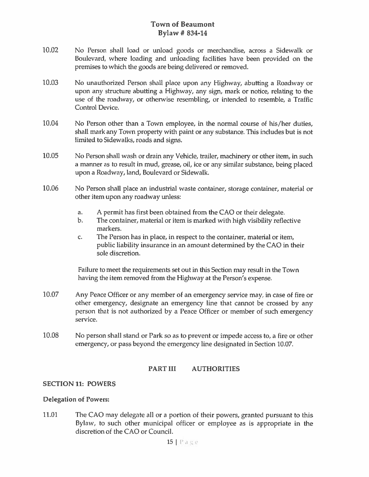- 10.02 No Person shall load or unload goods or merchandise, across <sup>a</sup> Sidewalk or Boulevard, where loading and unloading facilities have been provided on the premises to which the goods are being delivered or removed.
- 10.03 No unauthorized Person shall <sup>p</sup>lace upon any Highway, abutting <sup>a</sup> Roadway or upon any structure abutting <sup>a</sup> Highway, any sign, mark or notice, relating to the use of the roadway, or otherwise resembling, or intended to resemble, <sup>a</sup> Traffic Control Device.
- 10.04 No Person other than <sup>a</sup> Town employee, in the normal course of his/her duties, shall mark any Town property with paint or any substance. This includes but is not Limited to Sidewalks, roads and signs.
- 10.05 No Person shall wash or drain any Vehicle, trailer, machinery or other item, in such a manner as to result in mud, grease, oil, ice or any similar substance, being placed upon <sup>a</sup> Roadway, land, Boulevard or Sidewalk.
- 10.06 No Person shall place an industrial waste container, storage container, material or other item upon any roadway unless:
	- a. <sup>A</sup> permit has first been obtained from the CAO or their delegate.
	- b. The container, material or item is marked with high visibility reflective markers.
	- c. The Person has in place, in respec<sup>t</sup> to the container, material or item, public liability insurance in an amount determined by the CAO in their sole discretion.

Failure to meet the requirements set out in this Section may result in the Town having the item removed from the Highway at the Person's expense.

- 10.07 Any Peace Officer or any member of an emergency service may, in case of fire or other emergency, designate an emergency line that cannot be crossed by any person that is not authorized by <sup>a</sup> Peace Officer or member of such emergency service.
- 10.08 No person shall stand or Park so as to preven<sup>t</sup> or impede access to, <sup>a</sup> fire or other emergency, or pass beyond the emergency line designated in Section 10.07.

### PART III AUTHORITIES

#### SECTION 11: POWERS

#### Delegation of Powers:

11.01 The CAO may delegate all or a portion of their powers, granted pursuant to this Bylaw, to such other municipal officer or employee as is appropriate in the discretion of the CAO or Council.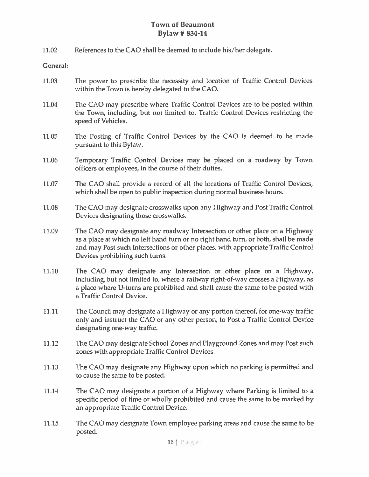11.02 References to the CAO shall be deemed to include his/her delegate.

#### General:

- 11.03 The power to prescribe the necessity and location of Traffic Control Devices within the Town is hereby delegated to the CAO.
- 11.04 The CAO may prescribe where Traffic Control Devices are to be posted within the Town, including, but not limited to, Traffic Control Devices restricting the speed of Vehicles.
- 11.05 The Posting of Traffic Control Devices by the CAO is deemed to be made pursuan<sup>t</sup> to this Bylaw.
- 11.06 Temporary Traffic Control Devices may be placed on <sup>a</sup> roadway by Town officers or employees, in the course of their duties.
- 11.07 The CAO shall provide <sup>a</sup> record of all the locations of Traffic Control Devices, which shall be open to public inspection during normal business hours.
- 11.08 The CAO may designate crosswalks upon any Highway and Post Traffic Control Devices designating those crosswalks.
- 11.09 The CAO may designate any roadway Intersection or other place on <sup>a</sup> Highway as <sup>a</sup> place at which no left hand turn or no right hand turn, or both, shall be made and may Post such Intersections or other places, with appropriate Traffic Control Devices prohibiting such turns.
- 11.10 The CAO may designate any Intersection or other place on <sup>a</sup> Highway, including, but not limited to, where <sup>a</sup> railway right-of-way crosses <sup>a</sup> Highway, as <sup>a</sup> place where U-turns are prohibited and shall cause the same to be posted with <sup>a</sup> Traffic Control Device.
- 11.11 The Council may designate <sup>a</sup> Highway or any portion thereof, for one-way traffic only and instruct the CAO or any other person, to Post <sup>a</sup> Traffic Control Device designating one-way traffic.
- 11.12 The CAO may designate School Zones and Playground Zones and may Post such zones with appropriate Traffic Control Devices.
- 11.13 The CAO may designate any Highway upon which no parking is permitted and to cause the same to be posted.
- 11.14 The CAO may designate <sup>a</sup> portion of <sup>a</sup> Highway where Parking is limited to <sup>a</sup> specific period of time or wholly prohibited and cause the same to be marked by an appropriate Traffic Control Device.
- 11.15 The CAO may designate Town employee parking areas and cause the same to be posted.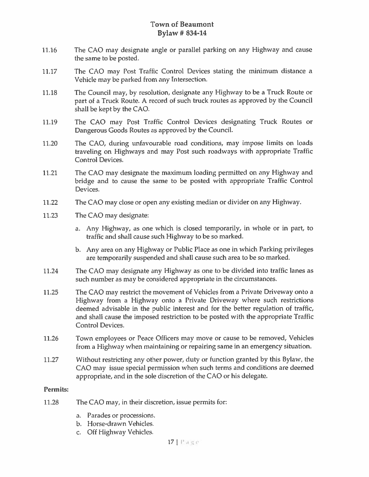- 11.16 The CAO may designate angle or parallel parking on any Highway and cause the same to be posted.
- 11.17 The CAD may Post Traffic Control Devices stating the minimum distance <sup>a</sup> Vehicle may be parked from any Intersection.
- 11.18 The Council may, by resolution, designate any Highway to be <sup>a</sup> Truck Route or par<sup>t</sup> of <sup>a</sup> Truck Route. <sup>A</sup> record of such truck routes as approve<sup>d</sup> by the Council shall be kept by the CAD.
- 11.19 The CAD may Post Traffic Control Devices designating Truck Routes or Dangerous Goods Routes as approved by the Council.
- 11.20 The CAD, during unfavourable road conditions, may impose limits on loads traveling on Highways and may Post such roadways with appropriate Traffic Control Devices.
- 11.21 The CAO may designate the maximum loading permitted on any Highway and bridge and to cause the same to be posted with appropriate Traffic Control Devices.
- 11.22 The CAO may close or open any existing median or divider on any Highway.
- 11.23 The CAO may designate:
	- a. Any Highway, as one which is closed temporarily, in whole or in part, to traffic and shall cause such Highway to be so marked.
	- b. Any area on any Highway or Public Place as one in which Parking privileges are temporarily suspended and shall cause such area to be so marked.
- 11.24 The CAD may designate any Highway as one to be divided into traffic lanes as such number as may be considered appropriate in the circumstances.
- 11.25 The CAO may restrict the movement of Vehicles from <sup>a</sup> Private Driveway onto <sup>a</sup> Highway from <sup>a</sup> Highway onto <sup>a</sup> Private Driveway where such restrictions deemed advisable in the public interest and for the better regulation of traffic, and shall cause the imposed restriction to be posted with the appropriate Traffic Control Devices.
- 11.26 Town employees or Peace Officers may move or cause to be removed, Vehicles from <sup>a</sup> Highway when maintaining or repairing same in an emergency situation.
- 11.27 Without restricting any other power, duty or function granted by this Bylaw, the CAO may issue special permission when such terms and conditions are deemed appropriate, and in the sole discretion of the CAD or his delegate.

#### Permits:

- 11.28 The CAO may, in their discretion, issue permits for:
	- a. Parades or processions.
	- b. Horse-drawn Vehicles.
	- c. Off Highway Vehicles.

 $17$   $\pm$   $\alpha$   $\alpha$   $\alpha$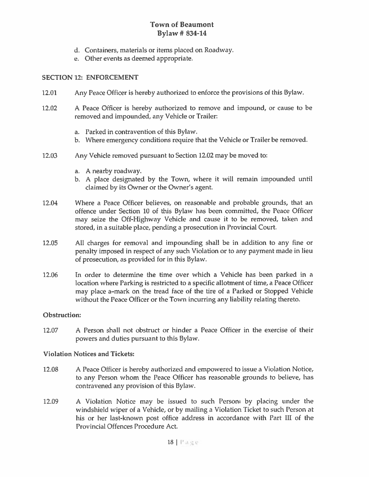- d. Containers, materials or items placed on Roadway.
- e. Other events as deemed appropriate.

#### SECTION 12: ENFORCEMENT

- 12.01 Any Peace Officer is hereby authorized to enforce the provisions of this Bylaw.
- 12.02 A Peace Officer is hereby authorized to remove and impound, or cause to be removed and impounded, any Vehicle or Trailer:
	- a. Parked in contravention of this Bylaw.
	- b. Where emergency conditions require that the Vehicle or Trailer be removed.
- 12.03 Any Vehicle removed pursuan<sup>t</sup> to Section 12.02 may be moved to:
	- a. A nearby roadway.
	- b. A place designated by the Town, where it will remain impounded until claimed by its Owner or the Owner's agent.
- 12.04 Where <sup>a</sup> Peace Officer believes, on reasonable and probable grounds, that an offence under Section 10 of this Bylaw has been committed, the Peace Officer may seize the Off-Highway Vehicle and cause it to be removed, taken and stored, in <sup>a</sup> suitable place, pending <sup>a</sup> prosecution in Provincial Court.
- 12.05 All charges for removal and impounding shall be in addition to any fine or penalty imposed in respec<sup>t</sup> of any such Violation or to any paymen<sup>t</sup> made in lieu of prosecution, as provided for in this Bylaw.
- 12.06 In order to determine the time over which <sup>a</sup> Vehicle has been parked in <sup>a</sup> location where Parking is restricted to a specific allotment of time, a Peace Officer may place a—mark on the tread face of the tire of <sup>a</sup> Parked or Stopped Vehicle without the Peace Officer or the Town incurring any liability relating thereto.

#### Obstruction:

12.07 A Person shall not obstruct or hinder a Peace Officer in the exercise of their powers and duties pursuan<sup>t</sup> to this Bylaw.

#### Violation Notices and Tickets:

- 12.08 A Peace Officer is hereby authorized and empowered to issue <sup>a</sup> Violation Notice, to any Person whom the Peace Officer has reasonable grounds to believe, has contravened any provision of this Bylaw.
- 12.09 A Violation Notice may be issued to such Person. by placing under the windshield wiper of <sup>a</sup> Vehicle, or by mailing <sup>a</sup> Violation Ticket to such Person at his or her last-known pos<sup>t</sup> office address in accordance with Part III of the Provincial Offences Procedure Act.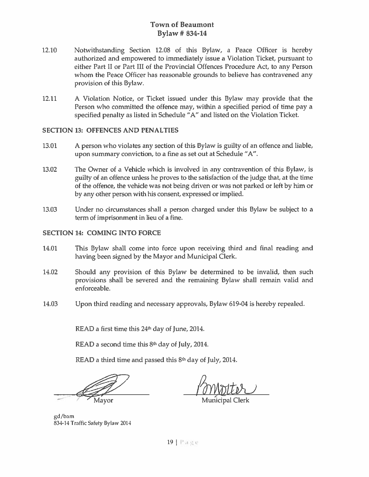- 12.10 Notwithstanding Section 12.08 of this Bylaw, a Peace Officer is hereby authorized and empowered to immediately issue <sup>a</sup> Violation Ticket, pursuan<sup>t</sup> to either Part II or Part III of the Provincial Offences Procedure Act, to any Person whom the Peace Officer has reasonable grounds to believe has contravened any provision of this Bylaw.
- 12.11 A Violation Notice, or Ticket issued under this Bylaw may provide that the Person who committed the offence may, within <sup>a</sup> specified period of time pay <sup>a</sup> specified penalty as listed in Schedule "A" and listed on the Violation Ticket.

#### SECTION 13: OFFENCES AND PENALTIES

- 13.01 A person who violates any section of this Bylaw is guilty of an offence and liable, upon summary conviction, to <sup>a</sup> fine as set out at Schedule "A".
- 13.02 The Owner of <sup>a</sup> Vehicle which is involved in any contravention of this Bylaw, is guilty of an offence unless he proves to the satisfaction of the judge that, at the time of the offence, the vehicle was not being driven or was not parked or left by him or by any other person with his consent, expressed or implied.
- 13.03 Under no circumstances shall <sup>a</sup> person charged under this Bylaw be subject to <sup>a</sup> term of imprisonment in lieu of <sup>a</sup> fine.

#### SECTION 14: COMING INTO FORCE

- 14.01 This Bylaw shall come into force upon receiving third and final reading and having been signed by the Mayor and Municipal Clerk.
- 14.02 Should any provision of this Bylaw be determined to be invalid, then such provisions shall be severed and the remaining Bylaw shall remain valid and enforceable.
- 14.03 Upon third reading and necessary approvals, Bylaw 619-04 is hereby repealed.

READ a first time this  $24<sup>th</sup>$  day of June, 2014.

READ a second time this  $8<sup>th</sup>$  day of July, 2014.

READ a third time and passed this  $8<sup>th</sup>$  day of July, 2014.

Mayor Municipal Clerk

gd/barn 834-14 Traffic Safety Bylaw 2014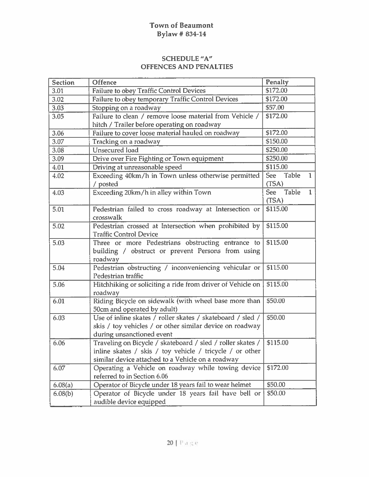| <b>Section</b> | Offence                                                                                                                                                                     | Penalty                                      |
|----------------|-----------------------------------------------------------------------------------------------------------------------------------------------------------------------------|----------------------------------------------|
| 3.01           | <b>Failure to obey Traffic Control Devices</b>                                                                                                                              | \$172.00                                     |
| 3.02           | Failure to obey temporary Traffic Control Devices                                                                                                                           | \$172.00                                     |
| 3.03           | Stopping on a roadway                                                                                                                                                       | \$57.00                                      |
| 3.05           | Failure to clean / remove loose material from Vehicle /                                                                                                                     | \$172.00                                     |
|                | hitch / Trailer before operating on roadway                                                                                                                                 |                                              |
| 3.06           | Failure to cover loose material hauled on roadway                                                                                                                           | \$172.00                                     |
| 3.07           | Tracking on a roadway                                                                                                                                                       | \$150.00                                     |
| 3.08           | <b>Unsecured</b> load                                                                                                                                                       | \$250.00                                     |
| 3.09           | Drive over Fire Fighting or Town equipment                                                                                                                                  | \$250.00                                     |
| 4.01           | Driving at unreasonable speed                                                                                                                                               | \$115.00                                     |
| 4.02           | Exceeding 40km/h in Town unless otherwise permitted<br>/ posted                                                                                                             | <b>Table</b><br>See<br>$\mathbf{1}$<br>(TSA) |
| 4.03           | Exceeding 20km/h in alley within Town                                                                                                                                       | See Table<br>$\mathbf{1}$                    |
|                |                                                                                                                                                                             | (TSA)                                        |
| 5.01           | Pedestrian failed to cross roadway at Intersection or<br>crosswalk                                                                                                          | \$115.00                                     |
| 5.02           | Pedestrian crossed at Intersection when prohibited by<br><b>Traffic Control Device</b>                                                                                      | \$115.00                                     |
| 5.03           | Three or more Pedestrians obstructing entrance to<br>building / obstruct or prevent Persons from using<br>roadway                                                           | \$115.00                                     |
| 5.04           | Pedestrian obstructing / inconveniencing vehicular or<br>Pedestrian traffic                                                                                                 | \$115.00                                     |
| 5.06           | Hitchhiking or soliciting a ride from driver of Vehicle on<br>roadway                                                                                                       | \$115.00                                     |
| 6.01           | Riding Bicycle on sidewalk (with wheel base more than<br>50cm and operated by adult)                                                                                        | \$50.00                                      |
| 6.03           | Use of inline skates / roller skates / skateboard / sled /<br>skis / toy vehicles / or other similar device on roadway<br>during unsanctioned event                         | \$50.00                                      |
| 6.06           | Traveling on Bicycle / skateboard / sled / roller skates /<br>inline skates / skis / toy vehicle / tricycle / or other<br>similar device attached to a Vehicle on a roadway | \$115.00                                     |
| 6.07           | Operating a Vehicle on roadway while towing device<br>referred to in Section 6.06                                                                                           | \$172.00                                     |
| 6.08(a)        | Operator of Bicycle under 18 years fail to wear helmet                                                                                                                      | \$50.00                                      |
| 6.08(b)        | Operator of Bicycle under 18 years fail have bell or<br>audible device equipped                                                                                             | \$50.00                                      |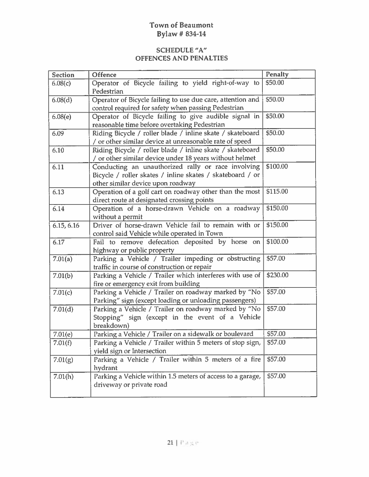| <b>Section</b> | <b>Offence</b>                                             | Penalty  |
|----------------|------------------------------------------------------------|----------|
| 6.08(c)        | Operator of Bicycle failing to yield right-of-way to       | \$50.00  |
|                | Pedestrian                                                 |          |
| 6.08(d)        | Operator of Bicycle failing to use due care, attention and | \$50.00  |
|                | control required for safety when passing Pedestrian        |          |
| 6.08(e)        | Operator of Bicycle failing to give audible signal in      | \$50.00  |
|                | reasonable time before overtaking Pedestrian               |          |
| 6.09           | Riding Bicycle / roller blade / inline skate / skateboard  | \$50.00  |
|                | / or other similar device at unreasonable rate of speed    |          |
| 6.10           | Riding Bicycle / roller blade / inline skate / skateboard  | \$50.00  |
|                | / or other similar device under 18 years without helmet    |          |
| 6.11           | Conducting an unauthorized rally or race involving         | \$100.00 |
|                | Bicycle / roller skates / inline skates / skateboard / or  |          |
|                | other similar device upon roadway                          |          |
| 6.13           | Operation of a golf cart on roadway other than the most    | \$115.00 |
|                | direct route at designated crossing points                 |          |
| 6.14           | Operation of a horse-drawn Vehicle on a roadway            | \$150.00 |
|                | without a permit                                           |          |
| 6.15, 6.16     | Driver of horse-drawn Vehicle fail to remain with or       | \$150.00 |
|                | control said Vehicle while operated in Town                |          |
| 6.17           | Fail to remove defecation deposited by horse on            | \$100.00 |
|                | highway or public property                                 |          |
| 7.01(a)        | Parking a Vehicle / Trailer impeding or obstructing        | \$57.00  |
|                | traffic in course of construction or repair                |          |
| 7.01(b)        | Parking a Vehicle / Trailer which interferes with use of   | \$230.00 |
|                | fire or emergency exit from building                       |          |
| 7.01(c)        | Parking a Vehicle / Trailer on roadway marked by "No       | \$57.00  |
|                | Parking" sign (except loading or unloading passengers)     |          |
| 7.01(d)        | Parking a Vehicle / Trailer on roadway marked by "No       | \$57.00  |
|                | Stopping" sign (except in the event of a Vehicle           |          |
|                | breakdown)                                                 |          |
| 7.01(e)        | Parking a Vehicle / Trailer on a sidewalk or boulevard     | \$57.00  |
| 7.01(f)        | Parking a Vehicle / Trailer within 5 meters of stop sign,  | \$57.00  |
|                | yield sign or Intersection                                 |          |
| 7.01(g)        | Parking a Vehicle / Trailer within 5 meters of a fire      | \$57.00  |
|                | hydrant                                                    |          |
| 7.01(h)        | Parking a Vehicle within 1.5 meters of access to a garage, | \$57.00  |
|                | driveway or private road                                   |          |
|                |                                                            |          |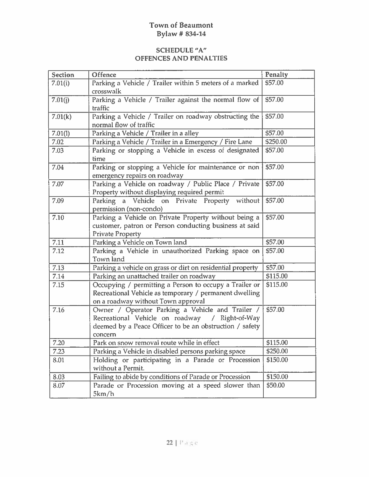| Section | Offence                                                                                                                                                                  | Penalty  |
|---------|--------------------------------------------------------------------------------------------------------------------------------------------------------------------------|----------|
| 7.01(i) | Parking a Vehicle / Trailer within 5 meters of a marked<br>crosswalk                                                                                                     | \$57.00  |
| 7.01(j) | Parking a Vehicle / Trailer against the normal flow of<br>traffic                                                                                                        | \$57.00  |
| 7.01(k) | Parking a Vehicle / Trailer on roadway obstructing the<br>normal flow of traffic                                                                                         | \$57.00  |
| 7.01(l) | Parking a Vehicle / Trailer in a alley                                                                                                                                   | \$57.00  |
| 7.02    | Parking a Vehicle / Trailer in a Emergency / Fire Lane                                                                                                                   | \$250.00 |
| 7.03    | Parking or stopping a Vehicle in excess of designated<br>time                                                                                                            | \$57.00  |
| 7.04    | Parking or stopping a Vehicle for maintenance or non<br>emergency repairs on roadway                                                                                     | \$57.00  |
| 7.07    | Parking a Vehicle on roadway / Public Place / Private<br>Property without displaying required permit                                                                     | \$57.00  |
| 7.09    | Parking a Vehicle on Private Property without<br>permission (non-condo)                                                                                                  | \$57.00  |
| 7.10    | Parking a Vehicle on Private Property without being a<br>customer, patron or Person conducting business at said<br><b>Private Property</b>                               | \$57.00  |
| 7.11    | Parking a Vehicle on Town land                                                                                                                                           | \$57.00  |
| 7.12    | Parking a Vehicle in unauthorized Parking space on<br>Town land                                                                                                          | \$57.00  |
| 7.13    | Parking a vehicle on grass or dirt on residential property                                                                                                               | \$57.00  |
| 7.14    | Parking an unattached trailer on roadway                                                                                                                                 | \$115.00 |
| 7.15    | Occupying / permitting a Person to occupy a Trailer or<br>Recreational Vehicle as temporary / permanent dwelling<br>on a roadway without Town approval                   | \$115.00 |
| 7.16    | Owner / Operator Parking a Vehicle and Trailer /<br>Recreational Vehicle on roadway / Right-of-Way<br>deemed by a Peace Officer to be an obstruction / safety<br>concern | \$57.00  |
| 7.20    | Park on snow removal route while in effect                                                                                                                               | \$115.00 |
| 7.23    | Parking a Vehicle in disabled persons parking space                                                                                                                      | \$250.00 |
| 8.01    | Holding or participating in a Parade or Procession<br>without a Permit.                                                                                                  | \$150.00 |
| 8.03    | Failing to abide by conditions of Parade or Procession                                                                                                                   | \$150.00 |
| 8.07    | Parade or Procession moving at a speed slower than<br>5km/h                                                                                                              | \$50.00  |